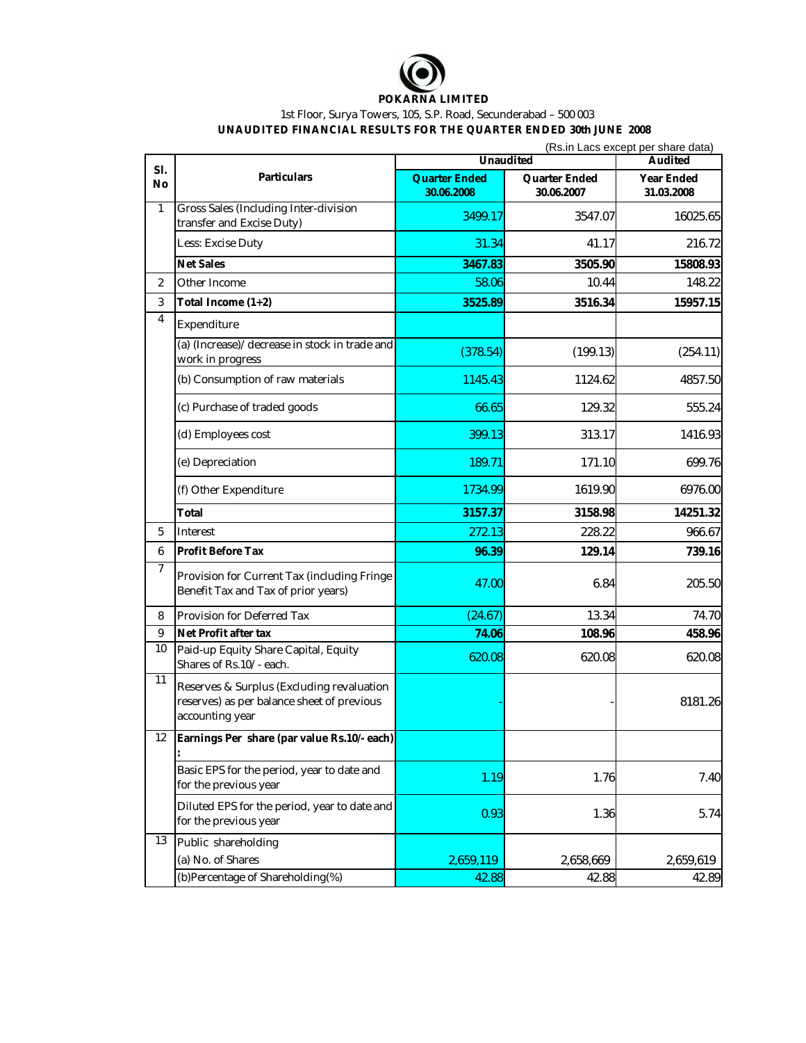

1st Floor, Surya Towers, 105, S.P. Road, Secunderabad – 500 003

**UNAUDITED FINANCIAL RESULTS FOR THE QUARTER ENDED 30th JUNE 2008**

|                | (Rs.in Lacs except per share data)                                                                         |                                    |                             |                          |
|----------------|------------------------------------------------------------------------------------------------------------|------------------------------------|-----------------------------|--------------------------|
| SI.            |                                                                                                            | Unaudited<br>Audited               |                             |                          |
| No             | Particulars                                                                                                | <b>Quarter Ended</b><br>30.06.2008 | Quarter Ended<br>30.06.2007 | Year Ended<br>31.03.2008 |
| $\mathbf{1}$   | Gross Sales (Including Inter-division<br>transfer and Excise Duty)                                         | 3499.17                            | 3547.07                     | 16025.65                 |
|                | Less: Excise Duty                                                                                          | 31.34                              | 41.17                       | 216.72                   |
|                | <b>Net Sales</b>                                                                                           | 3467.83                            | 3505.90                     | 15808.93                 |
| $\overline{2}$ | Other Income                                                                                               | 58.06                              | 10.44                       | 148.22                   |
| 3              | Total Income (1+2)                                                                                         | 3525.89                            | 3516.34                     | 15957.15                 |
| $\overline{4}$ | Expenditure                                                                                                |                                    |                             |                          |
|                | (a) (Increase)/decrease in stock in trade and<br>work in progress                                          | (378.54)                           | (199.13)                    | (254.11)                 |
|                | (b) Consumption of raw materials                                                                           | 1145.43                            | 1124.62                     | 4857.50                  |
|                | (c) Purchase of traded goods                                                                               | 66.65                              | 129.32                      | 555.24                   |
|                | (d) Employees cost                                                                                         | 399.13                             | 313.17                      | 1416.93                  |
|                | (e) Depreciation                                                                                           | 189.71                             | 171.10                      | 699.76                   |
|                | (f) Other Expenditure                                                                                      | 1734.99                            | 1619.90                     | 6976.00                  |
|                | Total                                                                                                      | 3157.37                            | 3158.98                     | 14251.32                 |
| 5              | Interest                                                                                                   | 272.13                             | 228.22                      | 966.67                   |
| 6              | Profit Before Tax                                                                                          | 96.39                              | 129.14                      | 739.16                   |
| $\overline{7}$ | Provision for Current Tax (including Fringe<br>Benefit Tax and Tax of prior years)                         | 47.00                              | 6.84                        | 205.50                   |
| 8              | Provision for Deferred Tax                                                                                 | (24.67)                            | 13.34                       | 74.70                    |
| 9              | Net Profit after tax                                                                                       | 74.06                              | 108.96                      | 458.96                   |
| 10             | Paid-up Equity Share Capital, Equity<br>Shares of Rs.10/- each.                                            | 620.08                             | 620.08                      | 620.08                   |
| 11             | Reserves & Surplus (Excluding revaluation<br>reserves) as per balance sheet of previous<br>accounting year |                                    |                             | 8181.26                  |
| 12             | Earnings Per share (par value Rs.10/- each)                                                                |                                    |                             |                          |
|                | Basic EPS for the period, year to date and<br>for the previous year                                        | 1.19                               | 1.76                        | 7.40                     |
|                | Diluted EPS for the period, year to date and<br>for the previous year                                      | 0.93                               | 1.36                        | 5.74                     |
| 13             | Public shareholding<br>(a) No. of Shares                                                                   | 2,659,119                          | 2,658,669                   | 2,659,619                |
|                | (b)Percentage of Shareholding(%)                                                                           | 42.88                              | 42.88                       | 42.89                    |